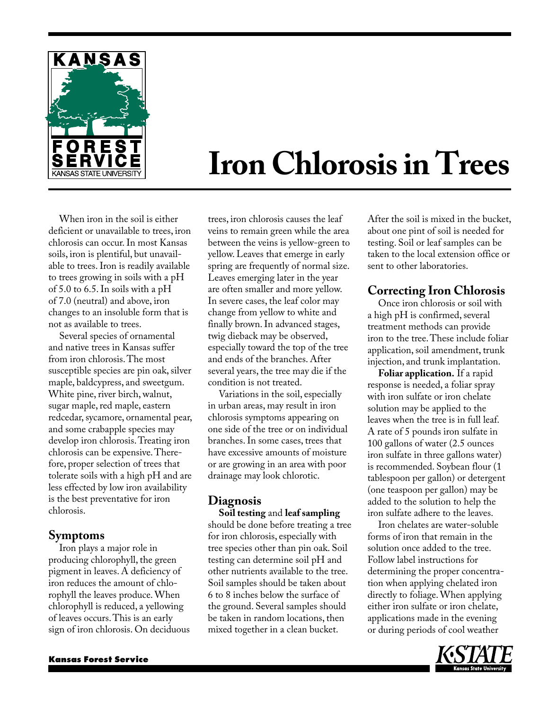

# **Iron Chlorosis in Trees**

When iron in the soil is either deficient or unavailable to trees, iron chlorosis can occur. In most Kansas soils, iron is plentiful, but unavailable to trees. Iron is readily available to trees growing in soils with a pH of 5.0 to 6.5. In soils with a pH of 7.0 (neutral) and above, iron changes to an insoluble form that is not as available to trees.

Several species of ornamental and native trees in Kansas suffer from iron chlorosis. The most susceptible species are pin oak, silver maple, baldcypress, and sweetgum. White pine, river birch, walnut, sugar maple, red maple, eastern redcedar, sycamore, ornamental pear, and some crabapple species may develop iron chlorosis. Treating iron chlorosis can be expensive. Therefore, proper selection of trees that tolerate soils with a high pH and are less effected by low iron availability is the best preventative for iron chlorosis.

#### **Symptoms**

Iron plays a major role in producing chlorophyll, the green pigment in leaves. A deficiency of iron reduces the amount of chlorophyll the leaves produce. When chlorophyll is reduced, a yellowing of leaves occurs. This is an early sign of iron chlorosis. On deciduous trees, iron chlorosis causes the leaf veins to remain green while the area between the veins is yellow-green to yellow. Leaves that emerge in early spring are frequently of normal size. Leaves emerging later in the year are often smaller and more yellow. In severe cases, the leaf color may change from yellow to white and finally brown. In advanced stages, twig dieback may be observed, especially toward the top of the tree and ends of the branches. After several years, the tree may die if the condition is not treated.

Variations in the soil, especially in urban areas, may result in iron chlorosis symptoms appearing on one side of the tree or on individual branches. In some cases, trees that have excessive amounts of moisture or are growing in an area with poor drainage may look chlorotic.

# **Diagnosis**

**Soil testing** and **leaf sampling** should be done before treating a tree for iron chlorosis, especially with tree species other than pin oak. Soil testing can determine soil pH and other nutrients available to the tree. Soil samples should be taken about 6 to 8 inches below the surface of the ground. Several samples should be taken in random locations, then mixed together in a clean bucket.

After the soil is mixed in the bucket, about one pint of soil is needed for testing. Soil or leaf samples can be taken to the local extension office or sent to other laboratories.

## **Correcting Iron Chlorosis**

Once iron chlorosis or soil with a high pH is confirmed, several treatment methods can provide iron to the tree. These include foliar application, soil amendment, trunk injection, and trunk implantation.

**Foliar application.** If a rapid response is needed, a foliar spray with iron sulfate or iron chelate solution may be applied to the leaves when the tree is in full leaf. A rate of 5 pounds iron sulfate in 100 gallons of water (2.5 ounces iron sulfate in three gallons water) is recommended. Soybean flour (1 tablespoon per gallon) or detergent (one teaspoon per gallon) may be added to the solution to help the iron sulfate adhere to the leaves.

Iron chelates are water-soluble forms of iron that remain in the solution once added to the tree. Follow label instructions for determining the proper concentration when applying chelated iron directly to foliage. When applying either iron sulfate or iron chelate, applications made in the evening or during periods of cool weather

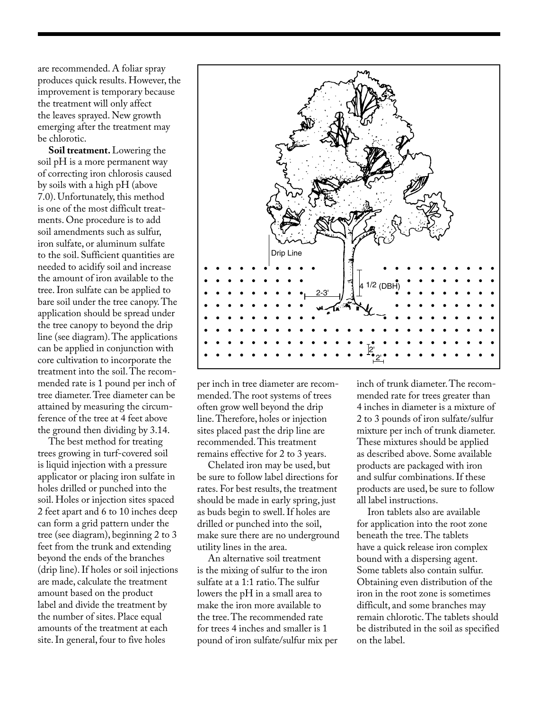are recommended. A foliar spray produces quick results. However, the improvement is temporary because the treatment will only affect the leaves sprayed. New growth emerging after the treatment may be chlorotic.

**Soil treatment.** Lowering the soil pH is a more permanent way of correcting iron chlorosis caused by soils with a high pH (above 7.0). Unfortunately, this method is one of the most difficult treatments. One procedure is to add soil amendments such as sulfur, iron sulfate, or aluminum sulfate to the soil. Sufficient quantities are needed to acidify soil and increase the amount of iron available to the tree. Iron sulfate can be applied to bare soil under the tree canopy. The application should be spread under the tree canopy to beyond the drip line (see diagram). The applications can be applied in conjunction with core cultivation to incorporate the treatment into the soil. The recommended rate is 1 pound per inch of tree diameter. Tree diameter can be attained by measuring the circumference of the tree at 4 feet above the ground then dividing by 3.14.

The best method for treating trees growing in turf-covered soil is liquid injection with a pressure applicator or placing iron sulfate in holes drilled or punched into the soil. Holes or injection sites spaced 2 feet apart and 6 to 10 inches deep can form a grid pattern under the tree (see diagram), beginning 2 to 3 feet from the trunk and extending beyond the ends of the branches (drip line). If holes or soil injections are made, calculate the treatment amount based on the product label and divide the treatment by the number of sites. Place equal amounts of the treatment at each site. In general, four to five holes



per inch in tree diameter are recommended. The root systems of trees often grow well beyond the drip line. Therefore, holes or injection sites placed past the drip line are recommended. This treatment remains effective for 2 to 3 years.

Chelated iron may be used, but be sure to follow label directions for rates. For best results, the treatment should be made in early spring, just as buds begin to swell. If holes are drilled or punched into the soil, make sure there are no underground utility lines in the area.

An alternative soil treatment is the mixing of sulfur to the iron sulfate at a 1:1 ratio. The sulfur lowers the pH in a small area to make the iron more available to the tree. The recommended rate for trees 4 inches and smaller is 1 pound of iron sulfate/sulfur mix per inch of trunk diameter. The recommended rate for trees greater than 4 inches in diameter is a mixture of 2 to 3 pounds of iron sulfate/sulfur mixture per inch of trunk diameter. These mixtures should be applied as described above. Some available products are packaged with iron and sulfur combinations. If these products are used, be sure to follow all label instructions.

Iron tablets also are available for application into the root zone beneath the tree. The tablets have a quick release iron complex bound with a dispersing agent. Some tablets also contain sulfur. Obtaining even distribution of the iron in the root zone is sometimes difficult, and some branches may remain chlorotic. The tablets should be distributed in the soil as specified on the label.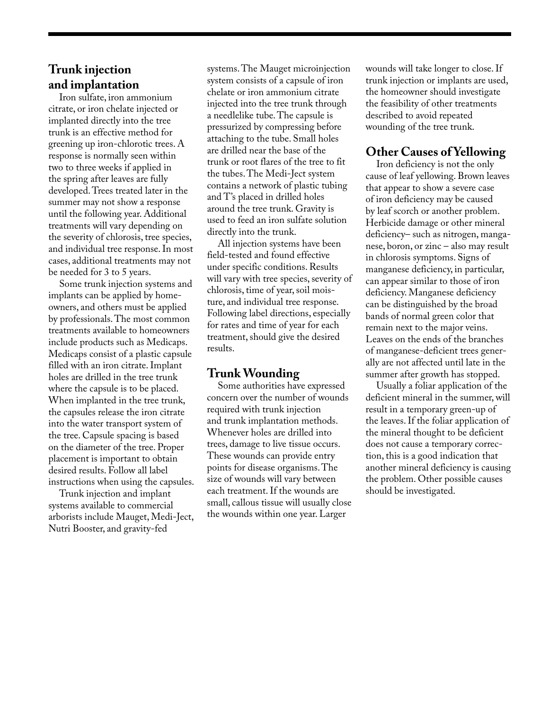#### **Trunk injection and implantation**

Iron sulfate, iron ammonium citrate, or iron chelate injected or implanted directly into the tree trunk is an effective method for greening up iron-chlorotic trees. A response is normally seen within two to three weeks if applied in the spring after leaves are fully developed. Trees treated later in the summer may not show a response until the following year. Additional treatments will vary depending on the severity of chlorosis, tree species, and individual tree response. In most cases, additional treatments may not be needed for 3 to 5 years.

Some trunk injection systems and implants can be applied by homeowners, and others must be applied by professionals. The most common treatments available to homeowners include products such as Medicaps. Medicaps consist of a plastic capsule filled with an iron citrate. Implant holes are drilled in the tree trunk where the capsule is to be placed. When implanted in the tree trunk, the capsules release the iron citrate into the water transport system of the tree. Capsule spacing is based on the diameter of the tree. Proper placement is important to obtain desired results. Follow all label instructions when using the capsules.

Trunk injection and implant systems available to commercial arborists include Mauget, Medi-Ject, Nutri Booster, and gravity-fed

systems. The Mauget microinjection system consists of a capsule of iron chelate or iron ammonium citrate injected into the tree trunk through a needlelike tube. The capsule is pressurized by compressing before attaching to the tube. Small holes are drilled near the base of the trunk or root flares of the tree to fit the tubes. The Medi-Ject system contains a network of plastic tubing and T's placed in drilled holes around the tree trunk. Gravity is used to feed an iron sulfate solution directly into the trunk.

All injection systems have been field-tested and found effective under specific conditions. Results will vary with tree species, severity of chlorosis, time of year, soil moisture, and individual tree response. Following label directions, especially for rates and time of year for each treatment, should give the desired results.

#### **Trunk Wounding**

Some authorities have expressed concern over the number of wounds required with trunk injection and trunk implantation methods. Whenever holes are drilled into trees, damage to live tissue occurs. These wounds can provide entry points for disease organisms. The size of wounds will vary between each treatment. If the wounds are small, callous tissue will usually close the wounds within one year. Larger

wounds will take longer to close. If trunk injection or implants are used, the homeowner should investigate the feasibility of other treatments described to avoid repeated wounding of the tree trunk.

### **Other Causes of Yellowing**

Iron deficiency is not the only cause of leaf yellowing. Brown leaves that appear to show a severe case of iron deficiency may be caused by leaf scorch or another problem. Herbicide damage or other mineral deficiency– such as nitrogen, manganese, boron, or zinc – also may result in chlorosis symptoms. Signs of manganese deficiency, in particular, can appear similar to those of iron deficiency. Manganese deficiency can be distinguished by the broad bands of normal green color that remain next to the major veins. Leaves on the ends of the branches of manganese-deficient trees generally are not affected until late in the summer after growth has stopped.

Usually a foliar application of the deficient mineral in the summer, will result in a temporary green-up of the leaves. If the foliar application of the mineral thought to be deficient does not cause a temporary correction, this is a good indication that another mineral deficiency is causing the problem. Other possible causes should be investigated.